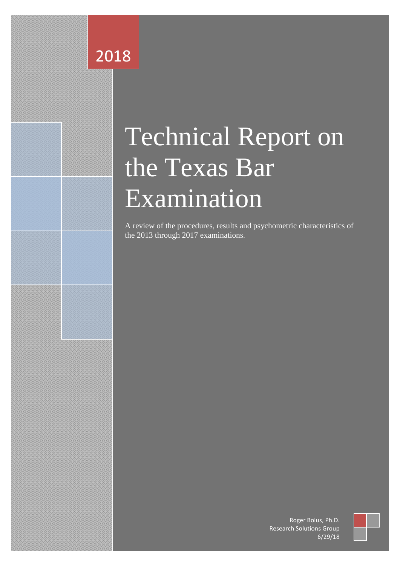## 2018

# Technical Report on the Texas Bar Examination

A review of the procedures, results and psychometric characteristics of the 2013 through 2017 examinations.

> Roger Bolus, Ph.D. Research Solutions Group 6/29/18

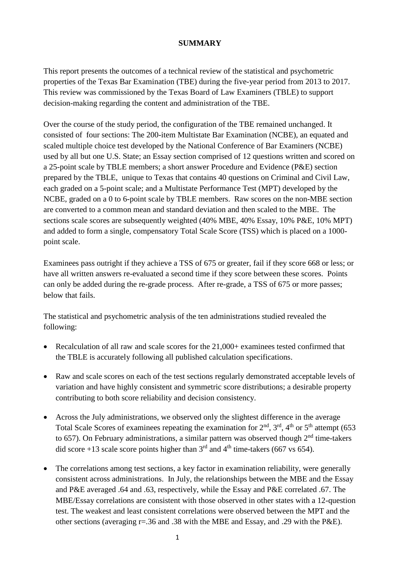#### **SUMMARY**

This report presents the outcomes of a technical review of the statistical and psychometric properties of the Texas Bar Examination (TBE) during the five-year period from 2013 to 2017. This review was commissioned by the Texas Board of Law Examiners (TBLE) to support decision-making regarding the content and administration of the TBE.

Over the course of the study period, the configuration of the TBE remained unchanged. It consisted of four sections: The 200-item Multistate Bar Examination (NCBE), an equated and scaled multiple choice test developed by the National Conference of Bar Examiners (NCBE) used by all but one U.S. State; an Essay section comprised of 12 questions written and scored on a 25-point scale by TBLE members; a short answer Procedure and Evidence (P&E) section prepared by the TBLE, unique to Texas that contains 40 questions on Criminal and Civil Law, each graded on a 5-point scale; and a Multistate Performance Test (MPT) developed by the NCBE, graded on a 0 to 6-point scale by TBLE members. Raw scores on the non-MBE section are converted to a common mean and standard deviation and then scaled to the MBE. The sections scale scores are subsequently weighted (40% MBE, 40% Essay, 10% P&E, 10% MPT) and added to form a single, compensatory Total Scale Score (TSS) which is placed on a 1000 point scale.

Examinees pass outright if they achieve a TSS of 675 or greater, fail if they score 668 or less; or have all written answers re-evaluated a second time if they score between these scores. Points can only be added during the re-grade process. After re-grade, a TSS of 675 or more passes; below that fails.

The statistical and psychometric analysis of the ten administrations studied revealed the following:

- Recalculation of all raw and scale scores for the 21,000+ examinees tested confirmed that the TBLE is accurately following all published calculation specifications.
- Raw and scale scores on each of the test sections regularly demonstrated acceptable levels of variation and have highly consistent and symmetric score distributions; a desirable property contributing to both score reliability and decision consistency.
- Across the July administrations, we observed only the slightest difference in the average Total Scale Scores of examinees repeating the examination for  $2<sup>nd</sup>$ ,  $3<sup>rd</sup>$ ,  $4<sup>th</sup>$  or  $5<sup>th</sup>$  attempt (653) to 657). On February administrations, a similar pattern was observed though  $2<sup>nd</sup>$  time-takers did score +13 scale score points higher than  $3<sup>rd</sup>$  and  $4<sup>th</sup>$  time-takers (667 vs 654).
- The correlations among test sections, a key factor in examination reliability, were generally consistent across administrations. In July, the relationships between the MBE and the Essay and P&E averaged .64 and .63, respectively, while the Essay and P&E correlated .67. The MBE/Essay correlations are consistent with those observed in other states with a 12-question test. The weakest and least consistent correlations were observed between the MPT and the other sections (averaging r=.36 and .38 with the MBE and Essay, and .29 with the P&E).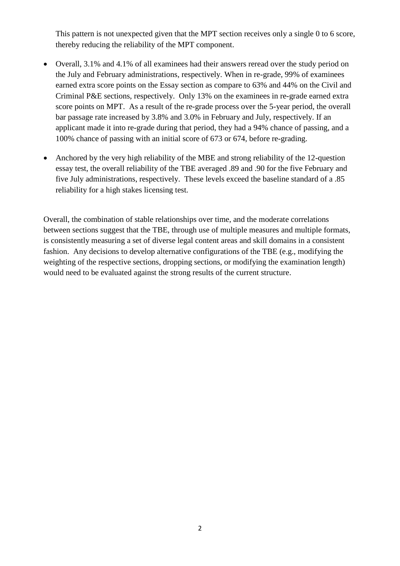This pattern is not unexpected given that the MPT section receives only a single 0 to 6 score, thereby reducing the reliability of the MPT component.

- Overall, 3.1% and 4.1% of all examinees had their answers reread over the study period on the July and February administrations, respectively. When in re-grade, 99% of examinees earned extra score points on the Essay section as compare to 63% and 44% on the Civil and Criminal P&E sections, respectively. Only 13% on the examinees in re-grade earned extra score points on MPT. As a result of the re-grade process over the 5-year period, the overall bar passage rate increased by 3.8% and 3.0% in February and July, respectively. If an applicant made it into re-grade during that period, they had a 94% chance of passing, and a 100% chance of passing with an initial score of 673 or 674, before re-grading.
- Anchored by the very high reliability of the MBE and strong reliability of the 12-question essay test, the overall reliability of the TBE averaged .89 and .90 for the five February and five July administrations, respectively. These levels exceed the baseline standard of a .85 reliability for a high stakes licensing test.

Overall, the combination of stable relationships over time, and the moderate correlations between sections suggest that the TBE, through use of multiple measures and multiple formats, is consistently measuring a set of diverse legal content areas and skill domains in a consistent fashion. Any decisions to develop alternative configurations of the TBE (e.g., modifying the weighting of the respective sections, dropping sections, or modifying the examination length) would need to be evaluated against the strong results of the current structure.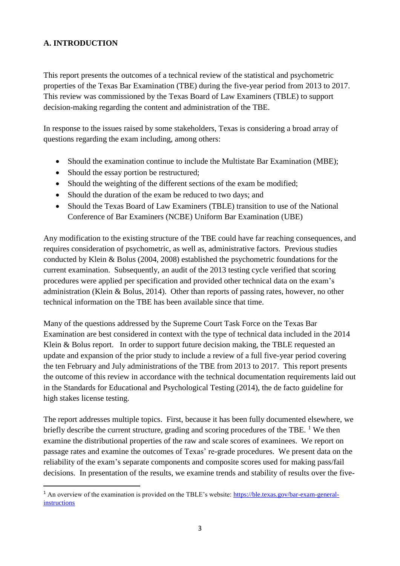#### **A. INTRODUCTION**

1

This report presents the outcomes of a technical review of the statistical and psychometric properties of the Texas Bar Examination (TBE) during the five-year period from 2013 to 2017. This review was commissioned by the Texas Board of Law Examiners (TBLE) to support decision-making regarding the content and administration of the TBE.

In response to the issues raised by some stakeholders, Texas is considering a broad array of questions regarding the exam including, among others:

- Should the examination continue to include the Multistate Bar Examination (MBE);
- Should the essay portion be restructured;
- Should the weighting of the different sections of the exam be modified;
- Should the duration of the exam be reduced to two days; and
- Should the Texas Board of Law Examiners (TBLE) transition to use of the National Conference of Bar Examiners (NCBE) Uniform Bar Examination (UBE)

Any modification to the existing structure of the TBE could have far reaching consequences, and requires consideration of psychometric, as well as, administrative factors. Previous studies conducted by Klein & Bolus (2004, 2008) established the psychometric foundations for the current examination. Subsequently, an audit of the 2013 testing cycle verified that scoring procedures were applied per specification and provided other technical data on the exam's administration (Klein & Bolus, 2014). Other than reports of passing rates, however, no other technical information on the TBE has been available since that time.

Many of the questions addressed by the Supreme Court Task Force on the Texas Bar Examination are best considered in context with the type of technical data included in the 2014 Klein & Bolus report. In order to support future decision making, the TBLE requested an update and expansion of the prior study to include a review of a full five-year period covering the ten February and July administrations of the TBE from 2013 to 2017. This report presents the outcome of this review in accordance with the technical documentation requirements laid out in the Standards for Educational and Psychological Testing (2014), the de facto guideline for high stakes license testing.

The report addresses multiple topics. First, because it has been fully documented elsewhere, we briefly describe the current structure, grading and scoring procedures of the TBE. <sup>1</sup> We then examine the distributional properties of the raw and scale scores of examinees. We report on passage rates and examine the outcomes of Texas' re-grade procedures. We present data on the reliability of the exam's separate components and composite scores used for making pass/fail decisions. In presentation of the results, we examine trends and stability of results over the five-

<sup>&</sup>lt;sup>1</sup> An overview of the examination is provided on the TBLE's website: [https://ble.texas.gov/bar-exam-general](https://ble.texas.gov/bar-exam-general-instructions)[instructions](https://ble.texas.gov/bar-exam-general-instructions)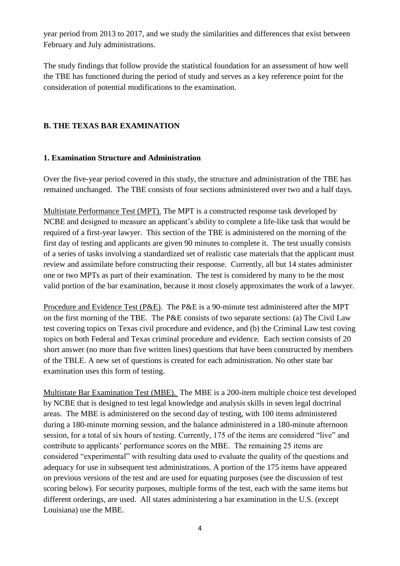year period from 2013 to 2017, and we study the similarities and differences that exist between February and July administrations.

The study findings that follow provide the statistical foundation for an assessment of how well the TBE has functioned during the period of study and serves as a key reference point for the consideration of potential modifications to the examination.

#### **B. THE TEXAS BAR EXAMINATION**

#### **1. Examination Structure and Administration**

Over the five-year period covered in this study, the structure and administration of the TBE has remained unchanged. The TBE consists of four sections administered over two and a half days.

Multistate Performance Test (MPT). The MPT is a constructed response task developed by NCBE and designed to measure an applicant's ability to complete a life-like task that would be required of a first-year lawyer. This section of the TBE is administered on the morning of the first day of testing and applicants are given 90 minutes to complete it. The test usually consists of a series of tasks involving a standardized set of realistic case materials that the applicant must review and assimilate before constructing their response. Currently, all but 14 states administer one or two MPTs as part of their examination. The test is considered by many to be the most valid portion of the bar examination, because it most closely approximates the work of a lawyer.

Procedure and Evidence Test (P&E). The P&E is a 90-minute test administered after the MPT on the first morning of the TBE. The P&E consists of two separate sections: (a) The Civil Law test covering topics on Texas civil procedure and evidence, and (b) the Criminal Law test coving topics on both Federal and Texas criminal procedure and evidence. Each section consists of 20 short answer (no more than five written lines) questions that have been constructed by members of the TBLE. A new set of questions is created for each administration. No other state bar examination uses this form of testing.

Multistate Bar Examination Test (MBE). The MBE is a 200-item multiple choice test developed by NCBE that is designed to test legal knowledge and analysis skills in seven legal doctrinal areas. The MBE is administered on the second day of testing, with 100 items administered during a 180-minute morning session, and the balance administered in a 180-minute afternoon session, for a total of six hours of testing. Currently, 175 of the items are considered "live" and contribute to applicants' performance scores on the MBE. The remaining 25 items are considered "experimental" with resulting data used to evaluate the quality of the questions and adequacy for use in subsequent test administrations. A portion of the 175 items have appeared on previous versions of the test and are used for equating purposes (see the discussion of test scoring below). For security purposes, multiple forms of the test, each with the same items but different orderings, are used. All states administering a bar examination in the U.S. (except Louisiana) use the MBE.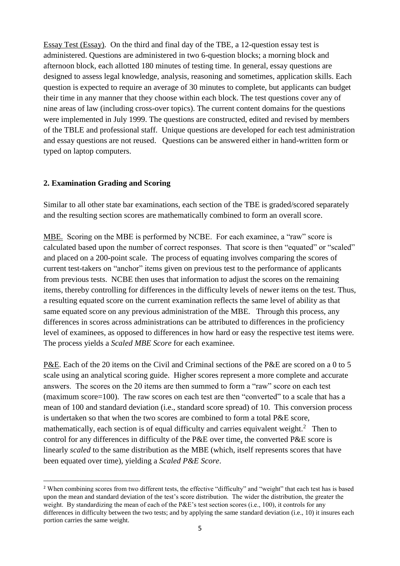Essay Test (Essay). On the third and final day of the TBE, a 12-question essay test is administered. Questions are administered in two 6-question blocks; a morning block and afternoon block, each allotted 180 minutes of testing time. In general, essay questions are designed to assess legal knowledge, analysis, reasoning and sometimes, application skills. Each question is expected to require an average of 30 minutes to complete, but applicants can budget their time in any manner that they choose within each block. The test questions cover any of nine areas of law (including cross-over topics). The current content domains for the questions were implemented in July 1999. The questions are constructed, edited and revised by members of the TBLE and professional staff. Unique questions are developed for each test administration and essay questions are not reused. Questions can be answered either in hand-written form or typed on laptop computers.

#### **2. Examination Grading and Scoring**

**.** 

Similar to all other state bar examinations, each section of the TBE is graded/scored separately and the resulting section scores are mathematically combined to form an overall score.

MBE. Scoring on the MBE is performed by NCBE. For each examinee, a "raw" score is calculated based upon the number of correct responses. That score is then "equated" or "scaled" and placed on a 200-point scale. The process of equating involves comparing the scores of current test-takers on "anchor" items given on previous test to the performance of applicants from previous tests. NCBE then uses that information to adjust the scores on the remaining items, thereby controlling for differences in the difficulty levels of newer items on the test. Thus, a resulting equated score on the current examination reflects the same level of ability as that same equated score on any previous administration of the MBE. Through this process, any differences in scores across administrations can be attributed to differences in the proficiency level of examinees, as opposed to differences in how hard or easy the respective test items were. The process yields a *Scaled MBE Score* for each examinee.

P&E. Each of the 20 items on the Civil and Criminal sections of the P&E are scored on a 0 to 5 scale using an analytical scoring guide. Higher scores represent a more complete and accurate answers. The scores on the 20 items are then summed to form a "raw" score on each test (maximum score=100). The raw scores on each test are then "converted" to a scale that has a mean of 100 and standard deviation (i.e., standard score spread) of 10. This conversion process is undertaken so that when the two scores are combined to form a total P&E score, mathematically, each section is of equal difficulty and carries equivalent weight.<sup>2</sup> Then to control for any differences in difficulty of the P&E over time*,* the converted P&E score is linearly *scaled* to the same distribution as the MBE (which, itself represents scores that have been equated over time), yielding a *Scaled P&E Score*.

<sup>&</sup>lt;sup>2</sup> When combining scores from two different tests, the effective "difficulty" and "weight" that each test has is based upon the mean and standard deviation of the test's score distribution. The wider the distribution, the greater the weight. By standardizing the mean of each of the P&E's test section scores (i.e., 100), it controls for any differences in difficulty between the two tests; and by applying the same standard deviation (i.e., 10) it insures each portion carries the same weight.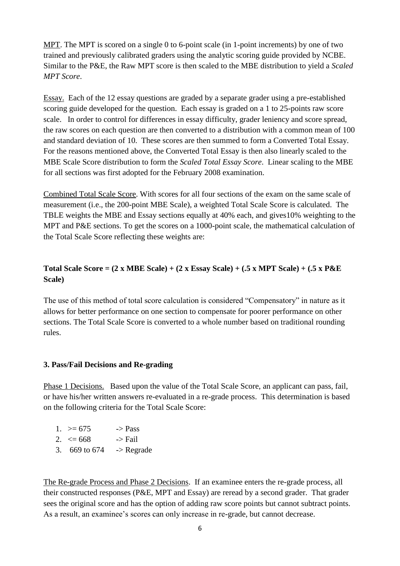MPT. The MPT is scored on a single 0 to 6-point scale (in 1-point increments) by one of two trained and previously calibrated graders using the analytic scoring guide provided by NCBE. Similar to the P&E, the Raw MPT score is then scaled to the MBE distribution to yield a *Scaled MPT Score*.

Essay. Each of the 12 essay questions are graded by a separate grader using a pre-established scoring guide developed for the question. Each essay is graded on a 1 to 25-points raw score scale. In order to control for differences in essay difficulty, grader leniency and score spread, the raw scores on each question are then converted to a distribution with a common mean of 100 and standard deviation of 10. These scores are then summed to form a Converted Total Essay. For the reasons mentioned above, the Converted Total Essay is then also linearly scaled to the MBE Scale Score distribution to form the *Scaled Total Essay Score*. Linear scaling to the MBE for all sections was first adopted for the February 2008 examination.

Combined Total Scale Score. With scores for all four sections of the exam on the same scale of measurement (i.e., the 200-point MBE Scale), a weighted Total Scale Score is calculated. The TBLE weights the MBE and Essay sections equally at 40% each, and gives10% weighting to the MPT and P&E sections. To get the scores on a 1000-point scale, the mathematical calculation of the Total Scale Score reflecting these weights are:

#### **Total Scale Score = (2 x MBE Scale) + (2 x Essay Scale) + (.5 x MPT Scale) + (.5 x P&E Scale)**

The use of this method of total score calculation is considered "Compensatory" in nature as it allows for better performance on one section to compensate for poorer performance on other sections. The Total Scale Score is converted to a whole number based on traditional rounding rules.

#### **3. Pass/Fail Decisions and Re-grading**

Phase 1 Decisions. Based upon the value of the Total Scale Score, an applicant can pass, fail, or have his/her written answers re-evaluated in a re-grade process. This determination is based on the following criteria for the Total Scale Score:

| $1. > = 675$             | $\rightarrow$ Pass    |
|--------------------------|-----------------------|
| 2. $\leq$ 668            | -> Fail               |
| 3. $669 \text{ to } 674$ | $\rightarrow$ Regrade |

The Re-grade Process and Phase 2 Decisions. If an examinee enters the re-grade process, all their constructed responses (P&E, MPT and Essay) are reread by a second grader. That grader sees the original score and has the option of adding raw score points but cannot subtract points. As a result, an examinee's scores can only increase in re-grade, but cannot decrease.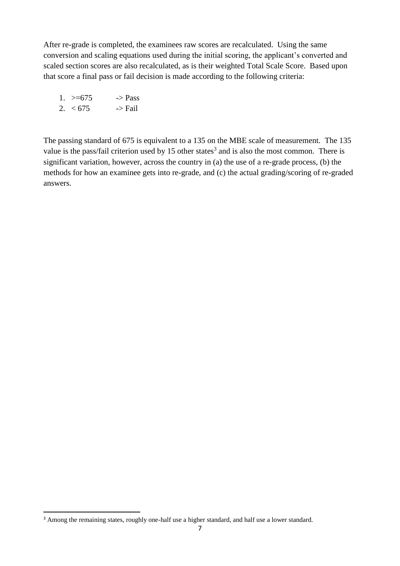After re-grade is completed, the examinees raw scores are recalculated. Using the same conversion and scaling equations used during the initial scoring, the applicant's converted and scaled section scores are also recalculated, as is their weighted Total Scale Score. Based upon that score a final pass or fail decision is made according to the following criteria:

| 1. $> = 675$ | $\rightarrow$ Pass |
|--------------|--------------------|
| 2. $< 675$   | $\rightarrow$ Fail |

The passing standard of 675 is equivalent to a 135 on the MBE scale of measurement. The 135 value is the pass/fail criterion used by 15 other states<sup>3</sup> and is also the most common. There is significant variation, however, across the country in (a) the use of a re-grade process, (b) the methods for how an examinee gets into re-grade, and (c) the actual grading/scoring of re-graded answers.

**.** 

<sup>&</sup>lt;sup>3</sup> Among the remaining states, roughly one-half use a higher standard, and half use a lower standard.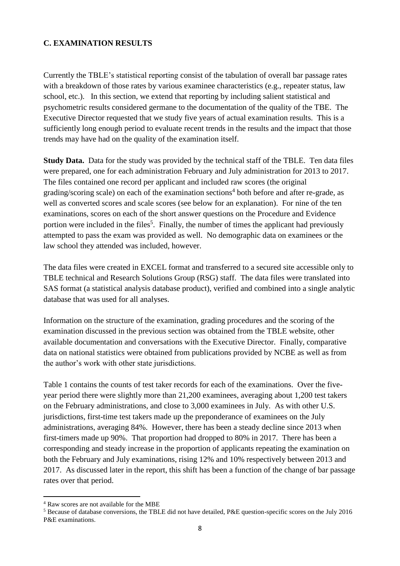#### **C. EXAMINATION RESULTS**

Currently the TBLE's statistical reporting consist of the tabulation of overall bar passage rates with a breakdown of those rates by various examinee characteristics (e.g., repeater status, law school, etc.). In this section, we extend that reporting by including salient statistical and psychometric results considered germane to the documentation of the quality of the TBE. The Executive Director requested that we study five years of actual examination results. This is a sufficiently long enough period to evaluate recent trends in the results and the impact that those trends may have had on the quality of the examination itself.

**Study Data.** Data for the study was provided by the technical staff of the TBLE. Ten data files were prepared, one for each administration February and July administration for 2013 to 2017. The files contained one record per applicant and included raw scores (the original grading/scoring scale) on each of the examination sections<sup>4</sup> both before and after re-grade, as well as converted scores and scale scores (see below for an explanation). For nine of the ten examinations, scores on each of the short answer questions on the Procedure and Evidence portion were included in the files<sup>5</sup>. Finally, the number of times the applicant had previously attempted to pass the exam was provided as well. No demographic data on examinees or the law school they attended was included, however.

The data files were created in EXCEL format and transferred to a secured site accessible only to TBLE technical and Research Solutions Group (RSG) staff. The data files were translated into SAS format (a statistical analysis database product), verified and combined into a single analytic database that was used for all analyses.

Information on the structure of the examination, grading procedures and the scoring of the examination discussed in the previous section was obtained from the TBLE website, other available documentation and conversations with the Executive Director. Finally, comparative data on national statistics were obtained from publications provided by NCBE as well as from the author's work with other state jurisdictions.

Table 1 contains the counts of test taker records for each of the examinations. Over the fiveyear period there were slightly more than 21,200 examinees, averaging about 1,200 test takers on the February administrations, and close to 3,000 examinees in July. As with other U.S. jurisdictions, first-time test takers made up the preponderance of examinees on the July administrations, averaging 84%. However, there has been a steady decline since 2013 when first-timers made up 90%. That proportion had dropped to 80% in 2017. There has been a corresponding and steady increase in the proportion of applicants repeating the examination on both the February and July examinations, rising 12% and 10% respectively between 2013 and 2017. As discussed later in the report, this shift has been a function of the change of bar passage rates over that period.

1

<sup>4</sup> Raw scores are not available for the MBE

<sup>5</sup> Because of database conversions, the TBLE did not have detailed, P&E question-specific scores on the July 2016 P&E examinations.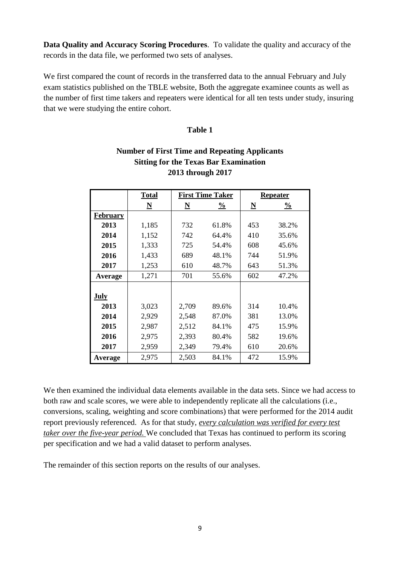**Data Quality and Accuracy Scoring Procedures**. To validate the quality and accuracy of the records in the data file, we performed two sets of analyses.

We first compared the count of records in the transferred data to the annual February and July exam statistics published on the TBLE website, Both the aggregate examinee counts as well as the number of first time takers and repeaters were identical for all ten tests under study, insuring that we were studying the entire cohort.

#### **Table 1**

| $\mathbf{D}$<br>the Texto Dul Extenditure |                          |                          |                         |                          |               |  |  |  |  |  |
|-------------------------------------------|--------------------------|--------------------------|-------------------------|--------------------------|---------------|--|--|--|--|--|
| 2013 through 2017                         |                          |                          |                         |                          |               |  |  |  |  |  |
|                                           | <b>Total</b>             |                          | <b>First Time Taker</b> |                          | Repeater      |  |  |  |  |  |
|                                           | $\underline{\mathbf{N}}$ | $\underline{\mathbf{N}}$ | $\frac{0}{0}$           | $\underline{\mathbf{N}}$ | $\frac{0}{0}$ |  |  |  |  |  |
| February                                  |                          |                          |                         |                          |               |  |  |  |  |  |
| 2013                                      | 1,185                    | 732                      | 61.8%                   | 453                      | 38.2%         |  |  |  |  |  |
| 2014                                      | 1,152                    | 742                      | 64.4%                   | 410                      | 35.6%         |  |  |  |  |  |
| 2015                                      | 1,333                    | 725                      | 54.4%                   | 608                      | 45.6%         |  |  |  |  |  |
| 2016                                      | 1,433                    | 689                      | 48.1%                   | 744                      | 51.9%         |  |  |  |  |  |
| 2017                                      | 1,253                    | 610                      | 48.7%                   | 643                      | 51.3%         |  |  |  |  |  |
| Average                                   | 1,271                    | 701                      | 55.6%                   | 602                      | 47.2%         |  |  |  |  |  |
|                                           |                          |                          |                         |                          |               |  |  |  |  |  |
| July                                      |                          |                          |                         |                          |               |  |  |  |  |  |
| 2013                                      | 3,023                    | 2,709                    | 89.6%                   | 314                      | 10.4%         |  |  |  |  |  |
| 2014                                      | 2,929                    | 2,548                    | 87.0%                   | 381                      | 13.0%         |  |  |  |  |  |
| 2015                                      | 2,987                    | 2,512                    | 84.1%                   | 475                      | 15.9%         |  |  |  |  |  |
| 2016                                      | 2,975                    | 2,393                    | 80.4%                   | 582                      | 19.6%         |  |  |  |  |  |

### **Number of First Time and Repeating Applicants Sitting for the Texas Bar Examination**

We then examined the individual data elements available in the data sets. Since we had access to both raw and scale scores, we were able to independently replicate all the calculations (i.e., conversions, scaling, weighting and score combinations) that were performed for the 2014 audit report previously referenced. As for that study, *every calculation was verified for every test taker over the five-year period.* We concluded that Texas has continued to perform its scoring per specification and we had a valid dataset to perform analyses.

**2017** | 2,959 | 2,349 79.4% | 610 20.6% **Average** 2,975 2,503 84.1% 472 15.9%

The remainder of this section reports on the results of our analyses.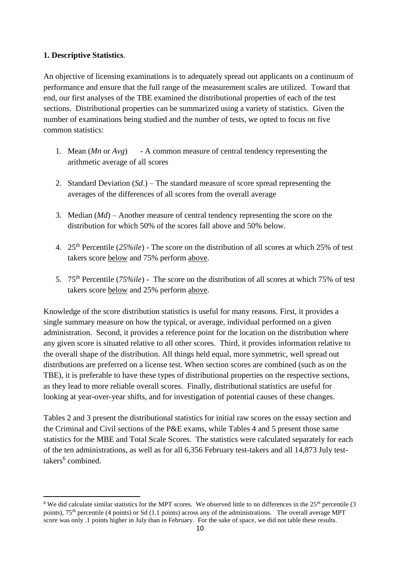#### **1. Descriptive Statistics**.

1

An objective of licensing examinations is to adequately spread out applicants on a continuum of performance and ensure that the full range of the measurement scales are utilized. Toward that end, our first analyses of the TBE examined the distributional properties of each of the test sections. Distributional properties can be summarized using a variety of statistics. Given the number of examinations being studied and the number of tests, we opted to focus on five common statistics:

- 1. Mean (*Mn* or *Avg*) A common measure of central tendency representing the arithmetic average of all scores
- 2. Standard Deviation (*Sd*.) The standard measure of score spread representing the averages of the differences of all scores from the overall average
- 3. Median (*Md*) Another measure of central tendency representing the score on the distribution for which 50% of the scores fall above and 50% below.
- 4. 25th Percentile (*25%ile*) The score on the distribution of all scores at which 25% of test takers score below and 75% perform above.
- 5. 75th Percentile (*75%ile*) The score on the distribution of all scores at which 75% of test takers score below and 25% perform above.

Knowledge of the score distribution statistics is useful for many reasons. First, it provides a single summary measure on how the typical, or average, individual performed on a given administration. Second, it provides a reference point for the location on the distribution where any given score is situated relative to all other scores. Third, it provides information relative to the overall shape of the distribution. All things held equal, more symmetric, well spread out distributions are preferred on a license test. When section scores are combined (such as on the TBE), it is preferable to have these types of distributional properties on the respective sections, as they lead to more reliable overall scores. Finally, distributional statistics are useful for looking at year-over-year shifts, and for investigation of potential causes of these changes.

Tables 2 and 3 present the distributional statistics for initial raw scores on the essay section and the Criminal and Civil sections of the P&E exams, while Tables 4 and 5 present those same statistics for the MBE and Total Scale Scores. The statistics were calculated separately for each of the ten administrations, as well as for all 6,356 February test-takers and all 14,873 July testtakers<sup>6</sup> combined.

<sup>&</sup>lt;sup>6</sup> We did calculate similar statistics for the MPT scores. We observed little to no differences in the  $25<sup>th</sup>$  percentile (3) points), 75<sup>th</sup> percentile (4 points) or Sd (1.1 points) across any of the administrations. The overall average MPT score was only .1 points higher in July than in February. For the sake of space, we did not table these results.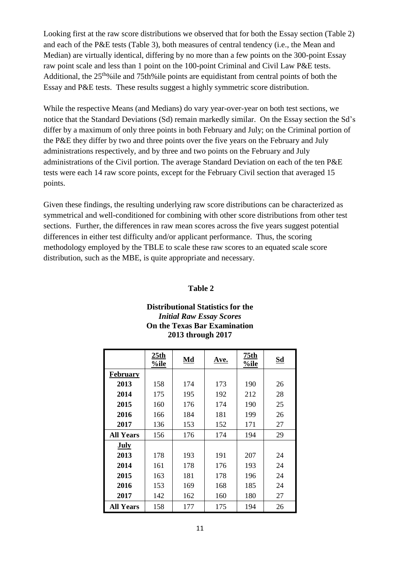Looking first at the raw score distributions we observed that for both the Essay section (Table 2) and each of the P&E tests (Table 3), both measures of central tendency (i.e., the Mean and Median) are virtually identical, differing by no more than a few points on the 300-point Essay raw point scale and less than 1 point on the 100-point Criminal and Civil Law P&E tests. Additional, the 25<sup>th</sup>%ile and 75th%ile points are equidistant from central points of both the Essay and P&E tests. These results suggest a highly symmetric score distribution.

While the respective Means (and Medians) do vary year-over-year on both test sections, we notice that the Standard Deviations (Sd) remain markedly similar. On the Essay section the Sd's differ by a maximum of only three points in both February and July; on the Criminal portion of the P&E they differ by two and three points over the five years on the February and July administrations respectively, and by three and two points on the February and July administrations of the Civil portion. The average Standard Deviation on each of the ten P&E tests were each 14 raw score points, except for the February Civil section that averaged 15 points.

Given these findings, the resulting underlying raw score distributions can be characterized as symmetrical and well-conditioned for combining with other score distributions from other test sections. Further, the differences in raw mean scores across the five years suggest potential differences in either test difficulty and/or applicant performance. Thus, the scoring methodology employed by the TBLE to scale these raw scores to an equated scale score distribution, such as the MBE, is quite appropriate and necessary.

#### **Table 2**

#### **Distributional Statistics for the** *Initial Raw Essay Scores* **On the Texas Bar Examination 2013 through 2017**

|                  | 25 <sub>th</sub><br>%ile | Md  | Ave. | 75th<br>%ile | Sd |
|------------------|--------------------------|-----|------|--------------|----|
| <b>February</b>  |                          |     |      |              |    |
| 2013             | 158                      | 174 | 173  | 190          | 26 |
| 2014             | 175                      | 195 | 192  | 212          | 28 |
| 2015             | 160                      | 176 | 174  | 190          | 25 |
| 2016             | 166                      | 184 | 181  | 199          | 26 |
| 2017             | 136                      | 153 | 152  | 171          | 27 |
| <b>All Years</b> | 156                      | 176 | 174  | 194          | 29 |
| <b>July</b>      |                          |     |      |              |    |
| 2013             | 178                      | 193 | 191  | 207          | 24 |
| 2014             | 161                      | 178 | 176  | 193          | 24 |
| 2015             | 163                      | 181 | 178  | 196          | 24 |
| 2016             | 153                      | 169 | 168  | 185          | 24 |
| 2017             | 142                      | 162 | 160  | 180          | 27 |
| <b>All Years</b> | 158                      | 177 | 175  | 194          | 26 |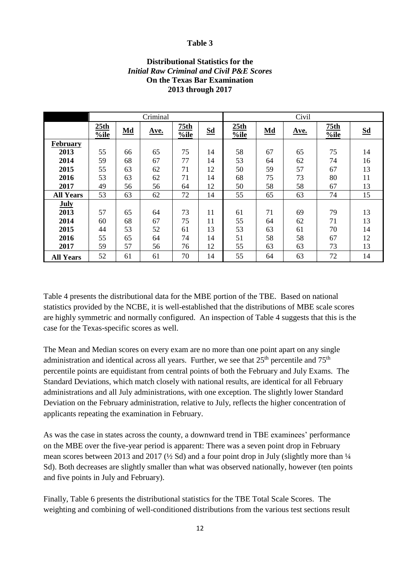#### **Table 3**

#### **Distributional Statistics for the** *Initial Raw Criminal and Civil P&E Scores* **On the Texas Bar Examination 2013 through 2017**

|                  |              |    | Criminal |              |    | Civil        |    |      |                          |    |
|------------------|--------------|----|----------|--------------|----|--------------|----|------|--------------------------|----|
|                  | 25th<br>%ile | Md | Ave.     | 75th<br>%ile | Sd | 25th<br>%ile | Md | Ave. | 75 <sub>th</sub><br>%ile | Sd |
| February         |              |    |          |              |    |              |    |      |                          |    |
| 2013             | 55           | 66 | 65       | 75           | 14 | 58           | 67 | 65   | 75                       | 14 |
| 2014             | 59           | 68 | 67       | 77           | 14 | 53           | 64 | 62   | 74                       | 16 |
| 2015             | 55           | 63 | 62       | 71           | 12 | 50           | 59 | 57   | 67                       | 13 |
| 2016             | 53           | 63 | 62       | 71           | 14 | 68           | 75 | 73   | 80                       | 11 |
| 2017             | 49           | 56 | 56       | 64           | 12 | 50           | 58 | 58   | 67                       | 13 |
| <b>All Years</b> | 53           | 63 | 62       | 72           | 14 | 55           | 65 | 63   | 74                       | 15 |
| <b>July</b>      |              |    |          |              |    |              |    |      |                          |    |
| 2013             | 57           | 65 | 64       | 73           | 11 | 61           | 71 | 69   | 79                       | 13 |
| 2014             | 60           | 68 | 67       | 75           | 11 | 55           | 64 | 62   | 71                       | 13 |
| 2015             | 44           | 53 | 52       | 61           | 13 | 53           | 63 | 61   | 70                       | 14 |
| 2016             | 55           | 65 | 64       | 74           | 14 | 51           | 58 | 58   | 67                       | 12 |
| 2017             | 59           | 57 | 56       | 76           | 12 | 55           | 63 | 63   | 73                       | 13 |
| <b>All Years</b> | 52           | 61 | 61       | 70           | 14 | 55           | 64 | 63   | 72                       | 14 |

Table 4 presents the distributional data for the MBE portion of the TBE. Based on national statistics provided by the NCBE, it is well-established that the distributions of MBE scale scores are highly symmetric and normally configured. An inspection of Table 4 suggests that this is the case for the Texas-specific scores as well.

The Mean and Median scores on every exam are no more than one point apart on any single administration and identical across all years. Further, we see that  $25<sup>th</sup>$  percentile and  $75<sup>th</sup>$ percentile points are equidistant from central points of both the February and July Exams. The Standard Deviations, which match closely with national results, are identical for all February administrations and all July administrations, with one exception. The slightly lower Standard Deviation on the February administration, relative to July, reflects the higher concentration of applicants repeating the examination in February.

As was the case in states across the county, a downward trend in TBE examinees' performance on the MBE over the five-year period is apparent: There was a seven point drop in February mean scores between 2013 and 2017 ( $\frac{1}{2}$  Sd) and a four point drop in July (slightly more than  $\frac{1}{4}$ Sd). Both decreases are slightly smaller than what was observed nationally, however (ten points and five points in July and February).

Finally, Table 6 presents the distributional statistics for the TBE Total Scale Scores. The weighting and combining of well-conditioned distributions from the various test sections result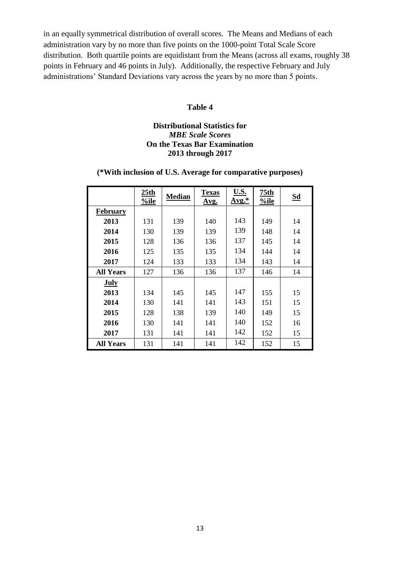in an equally symmetrical distribution of overall scores. The Means and Medians of each administration vary by no more than five points on the 1000-point Total Scale Score distribution. Both quartile points are equidistant from the Means (across all exams, roughly 38 points in February and 46 points in July). Additionally, the respective February and July administrations' Standard Deviations vary across the years by no more than 5 points.

#### **Table 4**

#### **Distributional Statistics for**  *MBE Scale Scores* **On the Texas Bar Examination 2013 through 2017**

#### **(\*With inclusion of U.S. Average for comparative purposes)**

|                  | 25th<br>%ile | <b>Median</b> | <b>Texas</b><br>Avg. | U.S.<br>$Avg.*$ | 75th<br>%ile | Sd |
|------------------|--------------|---------------|----------------------|-----------------|--------------|----|
| <b>February</b>  |              |               |                      |                 |              |    |
| 2013             | 131          | 139           | 140                  | 143             | 149          | 14 |
| 2014             | 130          | 139           | 139                  | 139             | 148          | 14 |
| 2015             | 128          | 136           | 136                  | 137             | 145          | 14 |
| 2016             | 125          | 135           | 135                  | 134             | 144          | 14 |
| 2017             | 124          | 133           | 133                  | 134             | 143          | 14 |
| <b>All Years</b> | 127          | 136           | 136                  | 137             | 146          | 14 |
| July             |              |               |                      |                 |              |    |
| 2013             | 134          | 145           | 145                  | 147             | 155          | 15 |
| 2014             | 130          | 141           | 141                  | 143             | 151          | 15 |
| 2015             | 128          | 138           | 139                  | 140             | 149          | 15 |
| 2016             | 130          | 141           | 141                  | 140             | 152          | 16 |
| 2017             | 131          | 141           | 141                  | 142             | 152          | 15 |
| <b>All Years</b> | 131          | 141           | 141                  | 142             | 152          | 15 |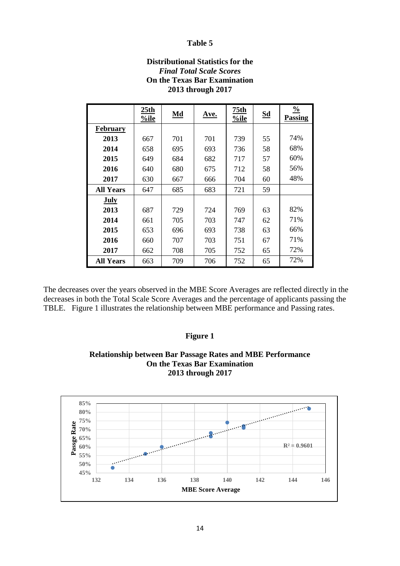#### **Table 5**

| 2013 through 2017 |              |           |             |                 |    |                          |  |  |  |
|-------------------|--------------|-----------|-------------|-----------------|----|--------------------------|--|--|--|
|                   | 25th<br>%ile | $\bf{Md}$ | <u>Ave.</u> | 75th<br>$%$ ile | Sd | $\frac{0}{0}$<br>Passing |  |  |  |
| <b>February</b>   |              |           |             |                 |    |                          |  |  |  |
| 2013              | 667          | 701       | 701         | 739             | 55 | 74%                      |  |  |  |
| 2014              | 658          | 695       | 693         | 736             | 58 | 68%                      |  |  |  |
| 2015              | 649          | 684       | 682         | 717             | 57 | 60%                      |  |  |  |
| 2016              | 640          | 680       | 675         | 712             | 58 | 56%                      |  |  |  |
| 2017              | 630          | 667       | 666         | 704             | 60 | 48%                      |  |  |  |
| <b>All Years</b>  | 647          | 685       | 683         | 721             | 59 |                          |  |  |  |
| <b>July</b>       |              |           |             |                 |    |                          |  |  |  |
| 2013              | 687          | 729       | 724         | 769             | 63 | 82%                      |  |  |  |
| 2014              | 661          | 705       | 703         | 747             | 62 | 71%                      |  |  |  |
| 2015              | 653          | 696       | 693         | 738             | 63 | 66%                      |  |  |  |
| 2016              | 660          | 707       | 703         | 751             | 67 | 71%                      |  |  |  |
| 2017              | 662          | 708       | 705         | 752             | 65 | 72%                      |  |  |  |
| <b>All Years</b>  | 663          | 709       | 706         | 752             | 65 | 72%                      |  |  |  |

#### **Distributional Statistics for the** *Final Total Scale Scores* **On the Texas Bar Examination 2013 through 2017**

The decreases over the years observed in the MBE Score Averages are reflected directly in the decreases in both the Total Scale Score Averages and the percentage of applicants passing the TBLE. Figure 1 illustrates the relationship between MBE performance and Passing rates.

#### **Figure 1**

#### **Relationship between Bar Passage Rates and MBE Performance On the Texas Bar Examination 2013 through 2017**

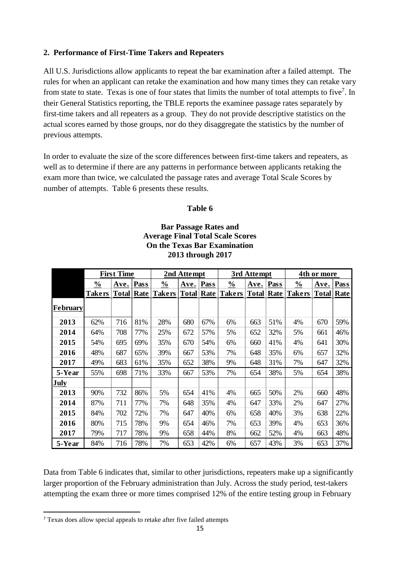#### **2. Performance of First-Time Takers and Repeaters**

All U.S. Jurisdictions allow applicants to repeat the bar examination after a failed attempt. The rules for when an applicant can retake the examination and how many times they can retake vary from state to state. Texas is one of four states that limits the number of total attempts to five<sup>7</sup>. In their General Statistics reporting, the TBLE reports the examinee passage rates separately by first-time takers and all repeaters as a group. They do not provide descriptive statistics on the actual scores earned by those groups, nor do they disaggregate the statistics by the number of previous attempts.

In order to evaluate the size of the score differences between first-time takers and repeaters, as well as to determine if there are any patterns in performance between applicants retaking the exam more than twice, we calculated the passage rates and average Total Scale Scores by number of attempts. Table 6 presents these results.

#### **Table 6**

#### **Bar Passage Rates and Average Final Total Scale Scores On the Texas Bar Examination 2013 through 2017**

|                                                                                                                                                                                                                                                                                                          |               | <b>First Time</b> |     |                                               | 2nd Attempt |     |                          | 3rd Attempt |     | 4th or more                |           |     |
|----------------------------------------------------------------------------------------------------------------------------------------------------------------------------------------------------------------------------------------------------------------------------------------------------------|---------------|-------------------|-----|-----------------------------------------------|-------------|-----|--------------------------|-------------|-----|----------------------------|-----------|-----|
|                                                                                                                                                                                                                                                                                                          | $\frac{0}{0}$ | Ave. Pass         |     | $\frac{0}{0}$                                 | Ave. Pass   |     | $\frac{0}{0}$            | Ave. Pass   |     | $\frac{0}{0}$              | Ave. Pass |     |
|                                                                                                                                                                                                                                                                                                          |               |                   |     | Takers   Total   Rate   Takers   Total   Rate |             |     | <b>Takers Total Rate</b> |             |     | <b>Takers   Total Rate</b> |           |     |
| <b>February</b>                                                                                                                                                                                                                                                                                          |               |                   |     |                                               |             |     |                          |             |     |                            |           |     |
| 2013                                                                                                                                                                                                                                                                                                     | 62%           | 716               | 81% | 28%                                           | 680         | 67% | 6%                       | 663         | 51% | 4%                         | 670       | 59% |
| 2014                                                                                                                                                                                                                                                                                                     | 64%           | 708               | 77% | 25%                                           | 672         | 57% | 5%                       | 652         | 32% | 5%                         | 661       | 46% |
| 2015                                                                                                                                                                                                                                                                                                     | 54%           | 695               | 69% | 35%                                           | 670         | 54% | 6%                       | 660         | 41% | 4%                         | 641       | 30% |
| 2016                                                                                                                                                                                                                                                                                                     | 48%           | 687               | 65% | 39%                                           | 667         | 53% | 7%                       | 648         | 35% | 6%                         | 657       | 32% |
| 2017                                                                                                                                                                                                                                                                                                     | 49%           | 683               | 61% | 35%                                           | 652         | 38% | 9%                       | 648         | 31% | 7%                         | 647       | 32% |
| 5-Year                                                                                                                                                                                                                                                                                                   | 55%           | 698               | 71% | 33%                                           | 667         | 53% | 7%                       | 654         | 38% | 5%                         | 654       | 38% |
| July                                                                                                                                                                                                                                                                                                     |               |                   |     |                                               |             |     |                          |             |     |                            |           |     |
| 2013                                                                                                                                                                                                                                                                                                     | 90%           | 732               | 86% | 5%                                            | 654         | 41% | 4%                       | 665         | 50% | 2%                         | 660       | 48% |
| 2014                                                                                                                                                                                                                                                                                                     | 87%           | 711               | 77% | 7%                                            | 648         | 35% | 4%                       | 647         | 33% | 2%                         | 647       | 27% |
| 2015                                                                                                                                                                                                                                                                                                     | 84%           | 702               | 72% | 7%                                            | 647         | 40% | 6%                       | 658         | 40% | 3%                         | 638       | 22% |
| 2016                                                                                                                                                                                                                                                                                                     | 80%           | 715               | 78% | 9%                                            | 654         | 46% | 7%                       | 653         | 39% | 4%                         | 653       | 36% |
| 2017                                                                                                                                                                                                                                                                                                     | 79%           | 717               | 78% | 9%                                            | 658         | 44% | 8%                       | 662         | 52% | 4%                         | 663       | 48% |
| 5-Year                                                                                                                                                                                                                                                                                                   | 84%           | 716               | 78% | 7%                                            | 653         | 42% | 6%                       | 657         | 43% | 3%                         | 653       | 37% |
| Data from Table 6 indicates that, similar to other jurisdictions, repeaters make up a significantly<br>larger proportion of the February administration than July. Across the study period, test-takers<br>attempting the exam three or more times comprised 12% of the entire testing group in February |               |                   |     |                                               |             |     |                          |             |     |                            |           |     |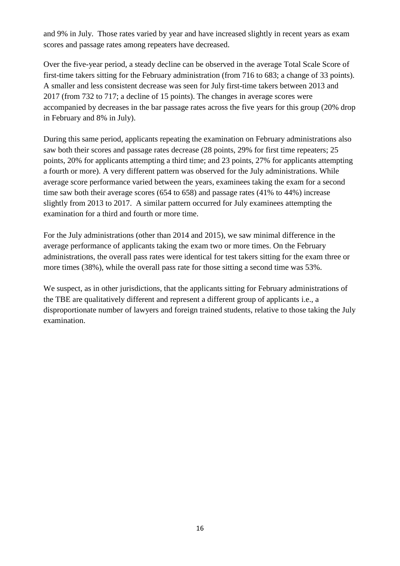and 9% in July. Those rates varied by year and have increased slightly in recent years as exam scores and passage rates among repeaters have decreased.

Over the five-year period, a steady decline can be observed in the average Total Scale Score of first-time takers sitting for the February administration (from 716 to 683; a change of 33 points). A smaller and less consistent decrease was seen for July first-time takers between 2013 and 2017 (from 732 to 717; a decline of 15 points). The changes in average scores were accompanied by decreases in the bar passage rates across the five years for this group (20% drop in February and 8% in July).

During this same period, applicants repeating the examination on February administrations also saw both their scores and passage rates decrease (28 points, 29% for first time repeaters; 25 points, 20% for applicants attempting a third time; and 23 points, 27% for applicants attempting a fourth or more). A very different pattern was observed for the July administrations. While average score performance varied between the years, examinees taking the exam for a second time saw both their average scores (654 to 658) and passage rates (41% to 44%) increase slightly from 2013 to 2017. A similar pattern occurred for July examinees attempting the examination for a third and fourth or more time.

For the July administrations (other than 2014 and 2015), we saw minimal difference in the average performance of applicants taking the exam two or more times. On the February administrations, the overall pass rates were identical for test takers sitting for the exam three or more times (38%), while the overall pass rate for those sitting a second time was 53%.

We suspect, as in other jurisdictions, that the applicants sitting for February administrations of the TBE are qualitatively different and represent a different group of applicants i.e., a disproportionate number of lawyers and foreign trained students, relative to those taking the July examination.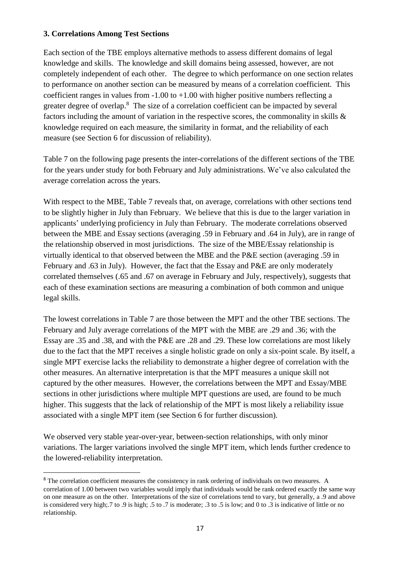#### **3. Correlations Among Test Sections**

**.** 

Each section of the TBE employs alternative methods to assess different domains of legal knowledge and skills. The knowledge and skill domains being assessed, however, are not completely independent of each other. The degree to which performance on one section relates to performance on another section can be measured by means of a correlation coefficient. This coefficient ranges in values from  $-1.00$  to  $+1.00$  with higher positive numbers reflecting a greater degree of overlap.<sup>8</sup> The size of a correlation coefficient can be impacted by several factors including the amount of variation in the respective scores, the commonality in skills & knowledge required on each measure, the similarity in format, and the reliability of each measure (see Section 6 for discussion of reliability).

Table 7 on the following page presents the inter-correlations of the different sections of the TBE for the years under study for both February and July administrations. We've also calculated the average correlation across the years.

With respect to the MBE, Table 7 reveals that, on average, correlations with other sections tend to be slightly higher in July than February. We believe that this is due to the larger variation in applicants' underlying proficiency in July than February. The moderate correlations observed between the MBE and Essay sections (averaging .59 in February and .64 in July), are in range of the relationship observed in most jurisdictions. The size of the MBE/Essay relationship is virtually identical to that observed between the MBE and the P&E section (averaging .59 in February and .63 in July). However, the fact that the Essay and P&E are only moderately correlated themselves (.65 and .67 on average in February and July, respectively), suggests that each of these examination sections are measuring a combination of both common and unique legal skills.

The lowest correlations in Table 7 are those between the MPT and the other TBE sections. The February and July average correlations of the MPT with the MBE are .29 and .36; with the Essay are .35 and .38, and with the P&E are .28 and .29. These low correlations are most likely due to the fact that the MPT receives a single holistic grade on only a six-point scale. By itself, a single MPT exercise lacks the reliability to demonstrate a higher degree of correlation with the other measures. An alternative interpretation is that the MPT measures a unique skill not captured by the other measures. However, the correlations between the MPT and Essay/MBE sections in other jurisdictions where multiple MPT questions are used, are found to be much higher. This suggests that the lack of relationship of the MPT is most likely a reliability issue associated with a single MPT item (see Section 6 for further discussion).

We observed very stable year-over-year, between-section relationships, with only minor variations. The larger variations involved the single MPT item, which lends further credence to the lowered-reliability interpretation.

<sup>&</sup>lt;sup>8</sup> The correlation coefficient measures the consistency in rank ordering of individuals on two measures. A correlation of 1.00 between two variables would imply that individuals would be rank ordered exactly the same way on one measure as on the other. Interpretations of the size of correlations tend to vary, but generally, a .9 and above is considered very high;.7 to .9 is high; .5 to .7 is moderate; .3 to .5 is low; and 0 to .3 is indicative of little or no relationship.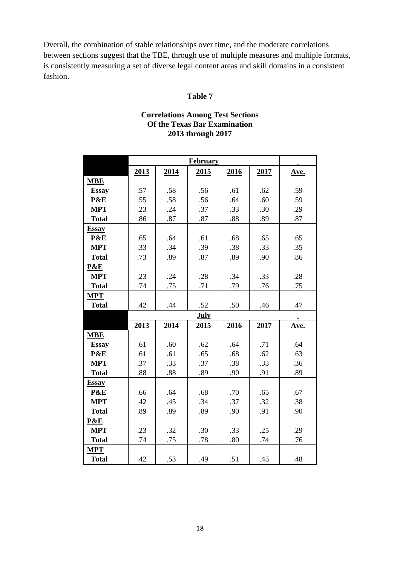Overall, the combination of stable relationships over time, and the moderate correlations between sections suggest that the TBE, through use of multiple measures and multiple formats, is consistently measuring a set of diverse legal content areas and skill domains in a consistent fashion.

#### **Table 7**

#### **Correlations Among Test Sections Of the Texas Bar Examination 2013 through 2017**

|              |      |      | <b>February</b> |      |      |      |
|--------------|------|------|-----------------|------|------|------|
|              | 2013 | 2014 | 2015            | 2016 | 2017 | Ave. |
| <b>MBE</b>   |      |      |                 |      |      |      |
| <b>Essay</b> | .57  | .58  | .56             | .61  | .62  | .59  |
| P&E          | .55  | .58  | .56             | .64  | .60  | .59  |
| <b>MPT</b>   | .23  | .24  | .37             | .33  | .30  | .29  |
| <b>Total</b> | .86  | .87  | .87             | .88  | .89  | .87  |
| <b>Essay</b> |      |      |                 |      |      |      |
| P&E          | .65  | .64  | .61             | .68  | .65  | .65  |
| <b>MPT</b>   | .33  | .34  | .39             | .38  | .33  | .35  |
| <b>Total</b> | .73  | .89  | .87             | .89  | .90  | .86  |
| P&E          |      |      |                 |      |      |      |
| <b>MPT</b>   | .23  | .24  | .28             | .34  | .33  | .28  |
| <b>Total</b> | .74  | .75  | .71             | .79  | .76  | .75  |
| <b>MPT</b>   |      |      |                 |      |      |      |
| <b>Total</b> | .42  | .44  | .52             | .50  | .46  | .47  |
|              |      |      | July            |      |      |      |
|              | 2013 | 2014 | 2015            | 2016 | 2017 | Ave. |
| <b>MBE</b>   |      |      |                 |      |      |      |
| <b>Essay</b> | .61  | .60  | .62             | .64  | .71  | .64  |
| P&E          | .61  | .61  | .65             | .68  | .62  | .63  |
| <b>MPT</b>   | .37  | .33  | .37             | .38  | .33  | .36  |
| <b>Total</b> | .88  | .88  | .89             | .90  | .91  | .89  |
| <b>Essay</b> |      |      |                 |      |      |      |
| P&E          | .66  | .64  | .68             | .70  | .65  | .67  |
| <b>MPT</b>   | .42  | .45  | .34             | .37  | .32  | .38  |
| <b>Total</b> | .89  | .89  | .89             | .90  | .91  | .90  |
| P&E          |      |      |                 |      |      |      |
| <b>MPT</b>   | .23  | .32  | .30             | .33  | .25  | .29  |
| <b>Total</b> | .74  | .75  | .78             | .80  | .74  | .76  |
| <b>MPT</b>   |      |      |                 |      |      |      |
| <b>Total</b> | .42  | .53  | .49             | .51  | .45  | .48  |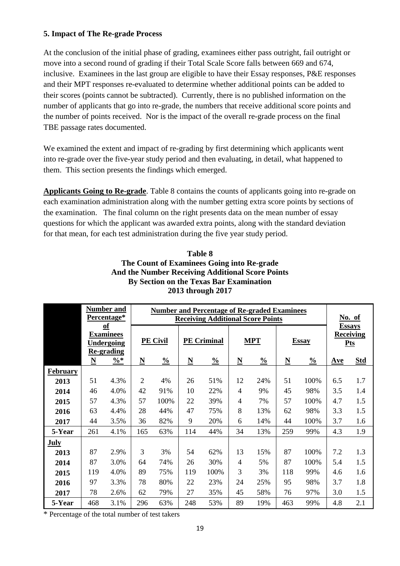#### **5. Impact of The Re-grade Process**

At the conclusion of the initial phase of grading, examinees either pass outright, fail outright or move into a second round of grading if their Total Scale Score falls between 669 and 674, inclusive. Examinees in the last group are eligible to have their Essay responses, P&E responses and their MPT responses re-evaluated to determine whether additional points can be added to their scores (points cannot be subtracted). Currently, there is no published information on the number of applicants that go into re-grade, the numbers that receive additional score points and the number of points received. Nor is the impact of the overall re-grade process on the final TBE passage rates documented.

We examined the extent and impact of re-grading by first determining which applicants went into re-grade over the five-year study period and then evaluating, in detail, what happened to them. This section presents the findings which emerged.

**Applicants Going to Re-grade**. Table 8 contains the counts of applicants going into re-grade on each examination administration along with the number getting extra score points by sections of the examination. The final column on the right presents data on the mean number of essay questions for which the applicant was awarded extra points, along with the standard deviation for that mean, for each test administration during the five year study period.

|                 | <b>Number and</b>        |                                        |                                          |                 |                          | <b>Number and Percentage of Re-graded Examinees</b> |                          |               |                          |               |     |                  |
|-----------------|--------------------------|----------------------------------------|------------------------------------------|-----------------|--------------------------|-----------------------------------------------------|--------------------------|---------------|--------------------------|---------------|-----|------------------|
|                 |                          | Percentage*                            | <b>Receiving Additional Score Points</b> |                 |                          |                                                     |                          |               |                          |               |     | No. of           |
|                 |                          | $\underline{\mathbf{of}}$              |                                          |                 |                          |                                                     |                          |               |                          |               |     | <b>Essays</b>    |
|                 |                          | <b>Examinees</b>                       |                                          | <b>PE Civil</b> |                          | <b>PE Criminal</b>                                  |                          | <b>MPT</b>    |                          | <b>Essay</b>  |     | <b>Receiving</b> |
|                 |                          | <b>Undergoing</b><br><b>Re-grading</b> |                                          |                 |                          |                                                     |                          |               |                          |               |     | <b>Pts</b>       |
|                 | $\underline{\mathbf{N}}$ | $\% *$                                 | $\underline{\mathbf{N}}$                 | $\frac{0}{0}$   | $\underline{\mathbf{N}}$ | $\frac{0}{0}$                                       | $\underline{\mathbf{N}}$ | $\frac{0}{0}$ | $\underline{\mathbf{N}}$ | $\frac{0}{0}$ | Ave | <b>Std</b>       |
| <b>February</b> |                          |                                        |                                          |                 |                          |                                                     |                          |               |                          |               |     |                  |
| 2013            | 51                       | 4.3%                                   | $\overline{2}$                           | 4%              | 26                       | 51%                                                 | 12                       | 24%           | 51                       | 100%          | 6.5 | 1.7              |
| 2014            | 46                       | 4.0%                                   | 42                                       | 91%             | 10                       | 22%                                                 | 4                        | 9%            | 45                       | 98%           | 3.5 | 1.4              |
| 2015            | 57                       | 4.3%                                   | 57                                       | 100%            | 22                       | 39%                                                 | 4                        | 7%            | 57                       | 100%          | 4.7 | 1.5              |
| 2016            | 63                       | 4.4%                                   | 28                                       | 44%             | 47                       | 75%                                                 | 8                        | 13%           | 62                       | 98%           | 3.3 | 1.5              |
| 2017            | 44                       | 3.5%                                   | 36                                       | 82%             | 9                        | 20%                                                 | 6                        | 14%           | 44                       | 100%          | 3.7 | 1.6              |
| 5-Year          | 261                      | 4.1%                                   | 165                                      | 63%             | 114                      | 44%                                                 | 34                       | 13%           | 259                      | 99%           | 4.3 | 1.9              |
| <b>July</b>     |                          |                                        |                                          |                 |                          |                                                     |                          |               |                          |               |     |                  |
| 2013            | 87                       | 2.9%                                   | 3                                        | 3%              | 54                       | 62%                                                 | 13                       | 15%           | 87                       | 100%          | 7.2 | 1.3              |
| 2014            | 87                       | 3.0%                                   | 64                                       | 74%             | 26                       | 30%                                                 | 4                        | 5%            | 87                       | 100%          | 5.4 | 1.5              |
| 2015            | 119                      | 4.0%                                   | 89                                       | 75%             | 119                      | 100%                                                | 3                        | 3%            | 118                      | 99%           | 4.6 | 1.6              |
| 2016            | 97                       | 3.3%                                   | 78                                       | 80%             | 22                       | 23%                                                 | 24                       | 25%           | 95                       | 98%           | 3.7 | 1.8              |
| 2017            | 78                       | 2.6%                                   | 62                                       | 79%             | 27                       | 35%                                                 | 45                       | 58%           | 76                       | 97%           | 3.0 | 1.5              |
| 5-Year          | 468                      | 3.1%                                   | 296                                      | 63%             | 248                      | 53%                                                 | 89                       | 19%           | 463                      | 99%           | 4.8 | 2.1              |

| Table 8                                                 |
|---------------------------------------------------------|
| The Count of Examinees Going into Re-grade              |
| <b>And the Number Receiving Additional Score Points</b> |
| By Section on the Texas Bar Examination                 |
| 2013 through 2017                                       |

\* Percentage of the total number of test takers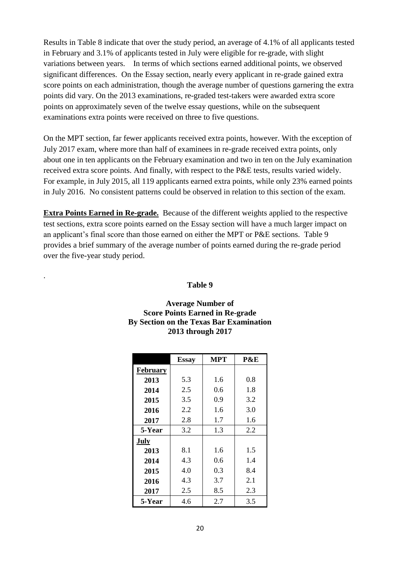Results in Table 8 indicate that over the study period, an average of 4.1% of all applicants tested in February and 3.1% of applicants tested in July were eligible for re-grade, with slight variations between years. In terms of which sections earned additional points, we observed significant differences. On the Essay section, nearly every applicant in re-grade gained extra score points on each administration, though the average number of questions garnering the extra points did vary. On the 2013 examinations, re-graded test-takers were awarded extra score points on approximately seven of the twelve essay questions, while on the subsequent examinations extra points were received on three to five questions.

On the MPT section, far fewer applicants received extra points, however. With the exception of July 2017 exam, where more than half of examinees in re-grade received extra points, only about one in ten applicants on the February examination and two in ten on the July examination received extra score points. And finally, with respect to the P&E tests, results varied widely. For example, in July 2015, all 119 applicants earned extra points, while only 23% earned points in July 2016. No consistent patterns could be observed in relation to this section of the exam.

**Extra Points Earned in Re-grade.** Because of the different weights applied to the respective test sections, extra score points earned on the Essay section will have a much larger impact on an applicant's final score than those earned on either the MPT or P&E sections. Table 9 provides a brief summary of the average number of points earned during the re-grade period over the five-year study period.

#### **Table 9**

.

#### **Average Number of Score Points Earned in Re-grade By Section on the Texas Bar Examination 2013 through 2017**

|                 | <b>Essay</b> | <b>MPT</b> | P&E |
|-----------------|--------------|------------|-----|
| <b>February</b> |              |            |     |
| 2013            | 5.3          | 1.6        | 0.8 |
| 2014            | 2.5          | 0.6        | 1.8 |
| 2015            | 3.5          | 0.9        | 3.2 |
| 2016            | 2.2          | 1.6        | 3.0 |
| 2017            | 2.8          | 1.7        | 1.6 |
| 5-Year          | 3.2          | 1.3        | 2.2 |
| July            |              |            |     |
| 2013            | 8.1          | 1.6        | 1.5 |
| 2014            | 4.3          | 0.6        | 1.4 |
| 2015            | 4.0          | 0.3        | 8.4 |
| 2016            | 4.3          | 3.7        | 2.1 |
| 2017            | 2.5          | 8.5        | 2.3 |
| 5-Year          | 4.6          | 2.7        | 3.5 |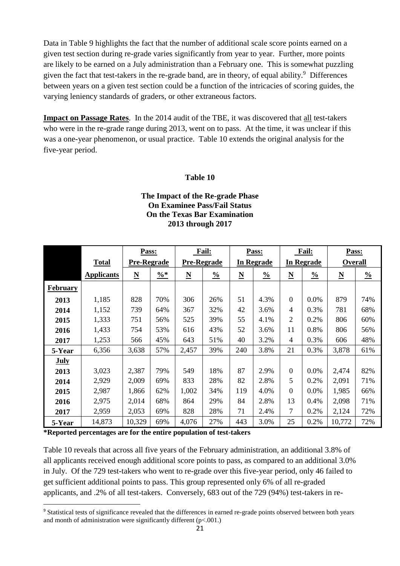Data in Table 9 highlights the fact that the number of additional scale score points earned on a given test section during re-grade varies significantly from year to year. Further, more points are likely to be earned on a July administration than a February one. This is somewhat puzzling given the fact that test-takers in the re-grade band, are in theory, of equal ability. <sup>9</sup> Differences between years on a given test section could be a function of the intricacies of scoring guides, the varying leniency standards of graders, or other extraneous factors.

**Impact on Passage Rates**. In the 2014 audit of the TBE, it was discovered that all test-takers who were in the re-grade range during 2013, went on to pass. At the time, it was unclear if this was a one-year phenomenon, or usual practice. Table 10 extends the original analysis for the five-year period.

#### **Table 10**

#### **The Impact of the Re-grade Phase On Examinee Pass/Fail Status On the Texas Bar Examination 2013 through 2017**

|                 |                   | Pass:                    |                 |                          | <b>Fail:</b>  |                          | Pass:         |                          | <b>Fail:</b>  | Pass:                    |               |
|-----------------|-------------------|--------------------------|-----------------|--------------------------|---------------|--------------------------|---------------|--------------------------|---------------|--------------------------|---------------|
|                 | <b>Total</b>      | <b>Pre-Regrade</b>       |                 | <b>Pre-Regrade</b>       |               | In Regrade               |               | In Regrade               |               | <b>Overall</b>           |               |
|                 | <b>Applicants</b> | $\underline{\mathbf{N}}$ | $\frac{0}{6}$ * | $\underline{\mathbf{N}}$ | $\frac{0}{0}$ | $\underline{\mathbf{N}}$ | $\frac{0}{0}$ | $\underline{\mathbf{N}}$ | $\frac{0}{0}$ | $\underline{\mathbf{N}}$ | $\frac{0}{0}$ |
| <b>February</b> |                   |                          |                 |                          |               |                          |               |                          |               |                          |               |
| 2013            | 1,185             | 828                      | 70%             | 306                      | 26%           | 51                       | 4.3%          | $\overline{0}$           | 0.0%          | 879                      | 74%           |
| 2014            | 1,152             | 739                      | 64%             | 367                      | 32%           | 42                       | 3.6%          | 4                        | 0.3%          | 781                      | 68%           |
| 2015            | 1,333             | 751                      | 56%             | 525                      | 39%           | 55                       | 4.1%          | 2                        | 0.2%          | 806                      | 60%           |
| 2016            | 1,433             | 754                      | 53%             | 616                      | 43%           | 52                       | 3.6%          | 11                       | 0.8%          | 806                      | 56%           |
| 2017            | 1,253             | 566                      | 45%             | 643                      | 51%           | 40                       | 3.2%          | 4                        | 0.3%          | 606                      | 48%           |
| 5-Year          | 6,356             | 3,638                    | 57%             | 2,457                    | 39%           | 240                      | 3.8%          | 21                       | 0.3%          | 3,878                    | 61%           |
| <b>July</b>     |                   |                          |                 |                          |               |                          |               |                          |               |                          |               |
| 2013            | 3,023             | 2,387                    | 79%             | 549                      | 18%           | 87                       | 2.9%          | $\overline{0}$           | $0.0\%$       | 2,474                    | 82%           |
| 2014            | 2,929             | 2,009                    | 69%             | 833                      | 28%           | 82                       | 2.8%          | 5                        | 0.2%          | 2,091                    | 71%           |
| 2015            | 2,987             | 1,866                    | 62%             | 1,002                    | 34%           | 119                      | 4.0%          | $\theta$                 | $0.0\%$       | 1,985                    | 66%           |
| 2016            | 2,975             | 2,014                    | 68%             | 864                      | 29%           | 84                       | 2.8%          | 13                       | 0.4%          | 2,098                    | 71%           |
| 2017            | 2,959             | 2,053                    | 69%             | 828                      | 28%           | 71                       | 2.4%          | 7                        | 0.2%          | 2,124                    | 72%           |
| 5-Year          | 14,873            | 10,329                   | 69%             | 4,076                    | 27%           | 443                      | 3.0%          | 25                       | 0.2%          | 10,772                   | 72%           |

**\*Reported percentages are for the entire population of test-takers**

**.** 

Table 10 reveals that across all five years of the February administration, an additional 3.8% of all applicants received enough additional score points to pass, as compared to an additional 3.0% in July. Of the 729 test-takers who went to re-grade over this five-year period, only 46 failed to get sufficient additional points to pass. This group represented only 6% of all re-graded applicants, and .2% of all test-takers. Conversely, 683 out of the 729 (94%) test-takers in re-

<sup>&</sup>lt;sup>9</sup> Statistical tests of significance revealed that the differences in earned re-grade points observed between both years and month of administration were significantly different  $(p<.001$ .)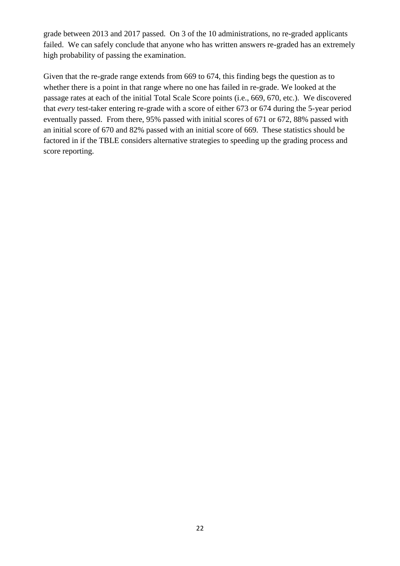grade between 2013 and 2017 passed. On 3 of the 10 administrations, no re-graded applicants failed. We can safely conclude that anyone who has written answers re-graded has an extremely high probability of passing the examination.

Given that the re-grade range extends from 669 to 674, this finding begs the question as to whether there is a point in that range where no one has failed in re-grade. We looked at the passage rates at each of the initial Total Scale Score points (i.e., 669, 670, etc.). We discovered that *every* test-taker entering re-grade with a score of either 673 or 674 during the 5-year period eventually passed. From there, 95% passed with initial scores of 671 or 672, 88% passed with an initial score of 670 and 82% passed with an initial score of 669. These statistics should be factored in if the TBLE considers alternative strategies to speeding up the grading process and score reporting.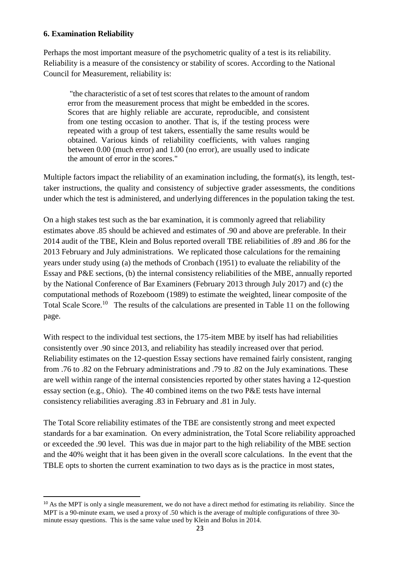#### **6. Examination Reliability**

1

Perhaps the most important measure of the psychometric quality of a test is its reliability. Reliability is a measure of the consistency or stability of scores. According to the National Council for Measurement, reliability is:

"the characteristic of a set of test scores that relates to the amount of random error from the measurement process that might be embedded in the scores. Scores that are highly reliable are accurate, reproducible, and consistent from one testing occasion to another. That is, if the testing process were repeated with a group of test takers, essentially the same results would be obtained. Various kinds of reliability coefficients, with values ranging between 0.00 (much error) and 1.00 (no error), are usually used to indicate the amount of error in the scores."

Multiple factors impact the reliability of an examination including, the format(s), its length, testtaker instructions, the quality and consistency of subjective grader assessments, the conditions under which the test is administered, and underlying differences in the population taking the test.

On a high stakes test such as the bar examination, it is commonly agreed that reliability estimates above .85 should be achieved and estimates of .90 and above are preferable. In their 2014 audit of the TBE, Klein and Bolus reported overall TBE reliabilities of .89 and .86 for the 2013 February and July administrations. We replicated those calculations for the remaining years under study using (a) the methods of Cronbach (1951) to evaluate the reliability of the Essay and P&E sections, (b) the internal consistency reliabilities of the MBE, annually reported by the National Conference of Bar Examiners (February 2013 through July 2017) and (c) the computational methods of Rozeboom (1989) to estimate the weighted, linear composite of the Total Scale Score.<sup>10</sup> The results of the calculations are presented in Table 11 on the following page.

With respect to the individual test sections, the 175-item MBE by itself has had reliabilities consistently over .90 since 2013, and reliability has steadily increased over that period. Reliability estimates on the 12-question Essay sections have remained fairly consistent, ranging from .76 to .82 on the February administrations and .79 to .82 on the July examinations. These are well within range of the internal consistencies reported by other states having a 12-question essay section (e.g., Ohio). The 40 combined items on the two P&E tests have internal consistency reliabilities averaging .83 in February and .81 in July.

The Total Score reliability estimates of the TBE are consistently strong and meet expected standards for a bar examination. On every administration, the Total Score reliability approached or exceeded the .90 level. This was due in major part to the high reliability of the MBE section and the 40% weight that it has been given in the overall score calculations. In the event that the TBLE opts to shorten the current examination to two days as is the practice in most states,

 $10$  As the MPT is only a single measurement, we do not have a direct method for estimating its reliability. Since the MPT is a 90-minute exam, we used a proxy of .50 which is the average of multiple configurations of three 30 minute essay questions. This is the same value used by Klein and Bolus in 2014.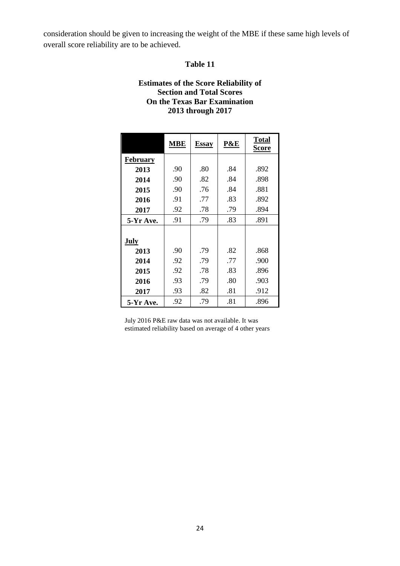consideration should be given to increasing the weight of the MBE if these same high levels of overall score reliability are to be achieved.

#### **Table 11**

#### **Estimates of the Score Reliability of Section and Total Scores On the Texas Bar Examination 2013 through 2017**

|                 | MBE | <b>Essay</b> | P&E | <b>Total</b><br>Score |
|-----------------|-----|--------------|-----|-----------------------|
| <b>February</b> |     |              |     |                       |
| 2013            | .90 | .80          | .84 | .892                  |
| 2014            | .90 | .82          | .84 | .898                  |
| 2015            | .90 | .76          | .84 | .881                  |
| 2016            | .91 | .77          | .83 | .892                  |
| 2017            | .92 | .78          | .79 | .894                  |
| 5-Yr Ave.       | .91 | .79          | .83 | .891                  |
|                 |     |              |     |                       |
| July            |     |              |     |                       |
| 2013            | .90 | .79          | .82 | .868                  |
| 2014            | .92 | .79          | .77 | .900                  |
| 2015            | .92 | .78          | .83 | .896                  |
| 2016            | .93 | .79          | .80 | .903                  |
| 2017            | .93 | .82          | .81 | .912                  |
| 5-Yr Ave.       | .92 | .79          | .81 | .896                  |

July 2016 P&E raw data was not available. It was estimated reliability based on average of 4 other years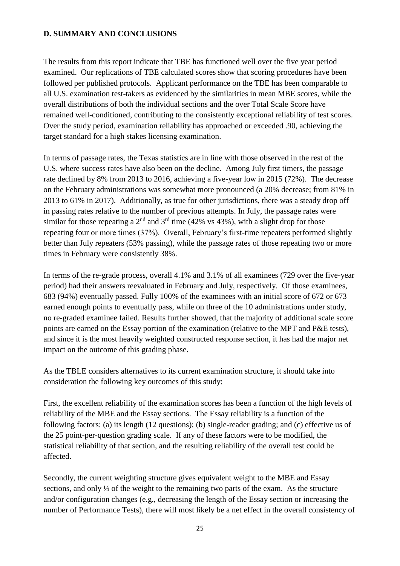#### **D. SUMMARY AND CONCLUSIONS**

The results from this report indicate that TBE has functioned well over the five year period examined. Our replications of TBE calculated scores show that scoring procedures have been followed per published protocols. Applicant performance on the TBE has been comparable to all U.S. examination test-takers as evidenced by the similarities in mean MBE scores, while the overall distributions of both the individual sections and the over Total Scale Score have remained well-conditioned, contributing to the consistently exceptional reliability of test scores. Over the study period, examination reliability has approached or exceeded .90, achieving the target standard for a high stakes licensing examination.

In terms of passage rates, the Texas statistics are in line with those observed in the rest of the U.S. where success rates have also been on the decline. Among July first timers, the passage rate declined by 8% from 2013 to 2016, achieving a five-year low in 2015 (72%). The decrease on the February administrations was somewhat more pronounced (a 20% decrease; from 81% in 2013 to 61% in 2017). Additionally, as true for other jurisdictions, there was a steady drop off in passing rates relative to the number of previous attempts. In July, the passage rates were similar for those repeating a 2<sup>nd</sup> and 3<sup>rd</sup> time (42% vs 43%), with a slight drop for those repeating four or more times (37%). Overall, February's first-time repeaters performed slightly better than July repeaters (53% passing), while the passage rates of those repeating two or more times in February were consistently 38%.

In terms of the re-grade process, overall 4.1% and 3.1% of all examinees (729 over the five-year period) had their answers reevaluated in February and July, respectively. Of those examinees, 683 (94%) eventually passed. Fully 100% of the examinees with an initial score of 672 or 673 earned enough points to eventually pass, while on three of the 10 administrations under study, no re-graded examinee failed. Results further showed, that the majority of additional scale score points are earned on the Essay portion of the examination (relative to the MPT and P&E tests), and since it is the most heavily weighted constructed response section, it has had the major net impact on the outcome of this grading phase.

As the TBLE considers alternatives to its current examination structure, it should take into consideration the following key outcomes of this study:

First, the excellent reliability of the examination scores has been a function of the high levels of reliability of the MBE and the Essay sections. The Essay reliability is a function of the following factors: (a) its length (12 questions); (b) single-reader grading; and (c) effective us of the 25 point-per-question grading scale. If any of these factors were to be modified, the statistical reliability of that section, and the resulting reliability of the overall test could be affected.

Secondly, the current weighting structure gives equivalent weight to the MBE and Essay sections, and only 1/4 of the weight to the remaining two parts of the exam. As the structure and/or configuration changes (e.g., decreasing the length of the Essay section or increasing the number of Performance Tests), there will most likely be a net effect in the overall consistency of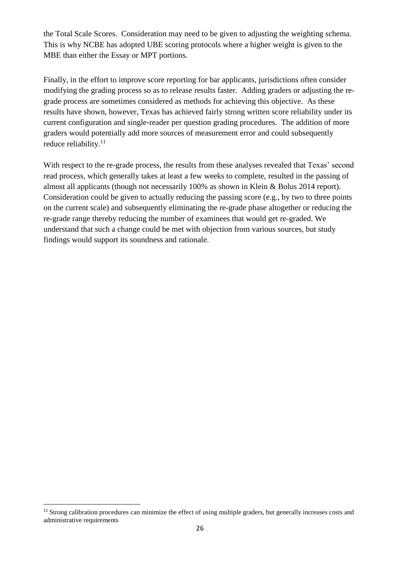the Total Scale Scores. Consideration may need to be given to adjusting the weighting schema. This is why NCBE has adopted UBE scoring protocols where a higher weight is given to the MBE than either the Essay or MPT portions.

Finally, in the effort to improve score reporting for bar applicants, jurisdictions often consider modifying the grading process so as to release results faster. Adding graders or adjusting the regrade process are sometimes considered as methods for achieving this objective. As these results have shown, however, Texas has achieved fairly strong written score reliability under its current configuration and single-reader per question grading procedures. The addition of more graders would potentially add more sources of measurement error and could subsequently reduce reliability.<sup>11</sup>

With respect to the re-grade process, the results from these analyses revealed that Texas' second read process, which generally takes at least a few weeks to complete, resulted in the passing of almost all applicants (though not necessarily 100% as shown in Klein & Bolus 2014 report). Consideration could be given to actually reducing the passing score (e.g., by two to three points on the current scale) and subsequently eliminating the re-grade phase altogether or reducing the re-grade range thereby reducing the number of examinees that would get re-graded. We understand that such a change could be met with objection from various sources, but study findings would support its soundness and rationale.

**.** 

<sup>&</sup>lt;sup>11</sup> Strong calibration procedures can minimize the effect of using multiple graders, but generally increases costs and administrative requirements